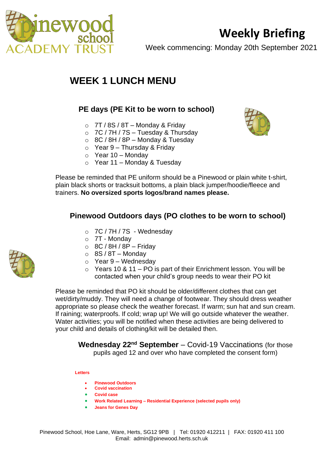

# **Weekly Briefing**

Week commencing: Monday 20th September 2021

## **WEEK 1 LUNCH MENU**

#### **PE days (PE Kit to be worn to school)**

- $\circ$  7T / 8S / 8T Monday & Friday
- $\circ$  7C / 7H / 7S Tuesday & Thursday
- $\circ$  8C / 8H / 8P Monday & Tuesday
- $\circ$  Year 9 Thursday & Friday
- $\circ$  Year 10 Monday
- o Year 11 Monday & Tuesday



Please be reminded that PE uniform should be a Pinewood or plain white t-shirt, plain black shorts or tracksuit bottoms, a plain black jumper/hoodie/fleece and trainers. **No oversized sports logos/brand names please.**

#### **Pinewood Outdoors days (PO clothes to be worn to school)**

- o 7C / 7H / 7S Wednesday
- o 7T Monday
- $\circ$  8C / 8H / 8P Friday
- $\circ$  8S / 8T Monday
- $\circ$  Year 9 Wednesday
- $\circ$  Years 10 & 11 PO is part of their Enrichment lesson. You will be contacted when your child's group needs to wear their PO kit

Please be reminded that PO kit should be older/different clothes that can get wet/dirty/muddy. They will need a change of footwear. They should dress weather appropriate so please check the weather forecast. If warm; sun hat and sun cream. If raining; waterproofs. If cold; wrap up! We will go outside whatever the weather. Water activities; you will be notified when these activities are being delivered to your child and details of clothing/kit will be detailed then.

**Wednesday 22nd September** – Covid-19 Vaccinations (for those pupils aged 12 and over who have completed the consent form)

#### **Letters**

- **Pinewood Outdoors**
- **Covid vaccination**
- **Covid case**
- **Work Related Learning – Residential Experience (selected pupils only)**
- **Jeans for Genes Day**

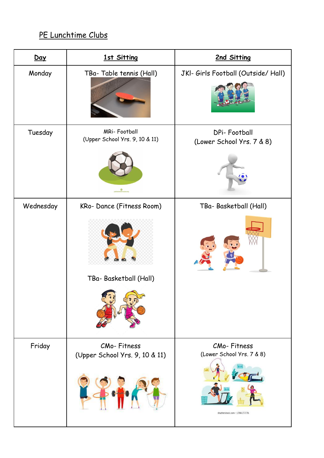### PE Lunchtime Clubs

| Day       | 1st Sitting                                           | 2nd Sitting                               |
|-----------|-------------------------------------------------------|-------------------------------------------|
| Monday    | TBa-Table tennis (Hall)                               | JKI- Girls Football (Outside/ Hall)       |
| Tuesday   | <b>MRi-Football</b><br>(Upper School Yrs. 9, 10 & 11) | DPi-Football<br>(Lower School Yrs. 7 & 8) |
|           |                                                       |                                           |
| Wednesday | KRo-Dance (Fitness Room)                              | TBa- Basketball (Hall)                    |
|           | TBa- Basketball (Hall)                                |                                           |
| Friday    | CMo-Fitness<br>(Upper School Yrs. 9, 10 & 11)         | CMo-Fitness<br>(Lower School Yrs. 7 & 8)  |
|           |                                                       | shutterstock.com - 1706177776             |